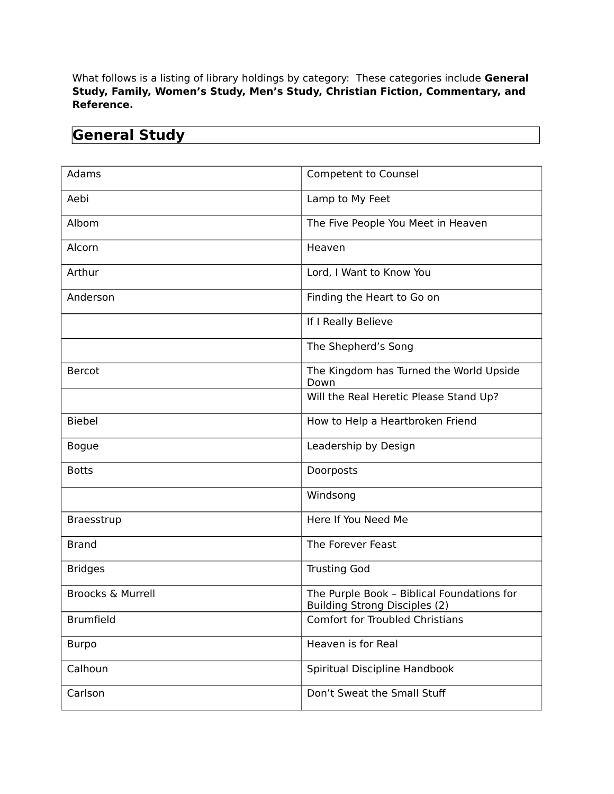What follows is a listing of library holdings by category: These categories include **General Study, Family, Women's Study, Men's Study, Christian Fiction, Commentary, and Reference.** 

| <b>General Study</b> |  |
|----------------------|--|

| Adams                        | <b>Competent to Counsel</b>                                                        |
|------------------------------|------------------------------------------------------------------------------------|
| Aebi                         | Lamp to My Feet                                                                    |
| Albom                        | The Five People You Meet in Heaven                                                 |
| Alcorn                       | Heaven                                                                             |
| Arthur                       | Lord, I Want to Know You                                                           |
| Anderson                     | Finding the Heart to Go on                                                         |
|                              | If I Really Believe                                                                |
|                              | The Shepherd's Song                                                                |
| Bercot                       | The Kingdom has Turned the World Upside<br>Down                                    |
|                              | Will the Real Heretic Please Stand Up?                                             |
| <b>Biebel</b>                | How to Help a Heartbroken Friend                                                   |
| <b>Bogue</b>                 | Leadership by Design                                                               |
| <b>Botts</b>                 | Doorposts                                                                          |
|                              | Windsong                                                                           |
| Braesstrup                   | Here If You Need Me                                                                |
| <b>Brand</b>                 | The Forever Feast                                                                  |
| <b>Bridges</b>               | <b>Trusting God</b>                                                                |
| <b>Broocks &amp; Murrell</b> | The Purple Book - Biblical Foundations for<br><b>Building Strong Disciples (2)</b> |
| <b>Brumfield</b>             | <b>Comfort for Troubled Christians</b>                                             |
| <b>Burpo</b>                 | Heaven is for Real                                                                 |
| Calhoun                      | Spiritual Discipline Handbook                                                      |
| Carlson                      | Don't Sweat the Small Stuff                                                        |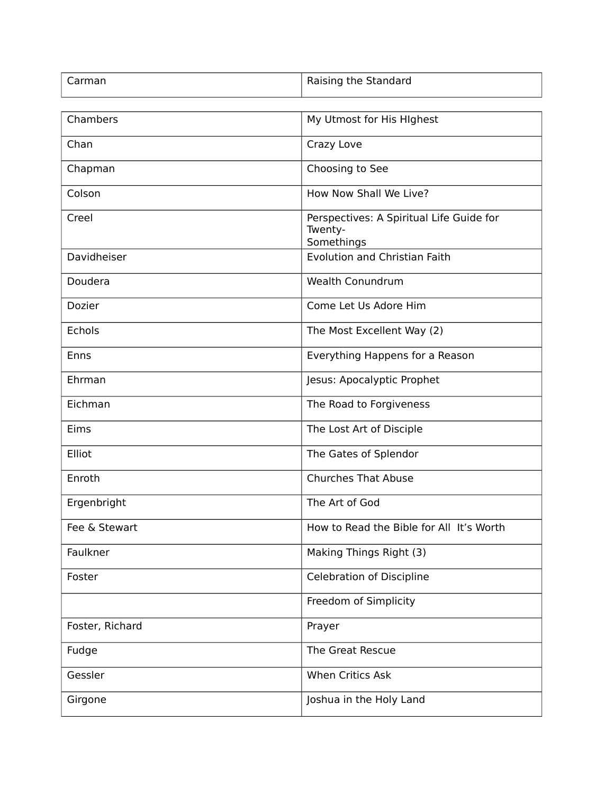| Carman          | Raising the Standard                                              |
|-----------------|-------------------------------------------------------------------|
|                 |                                                                   |
| Chambers        | My Utmost for His HIghest                                         |
| Chan            | Crazy Love                                                        |
| Chapman         | Choosing to See                                                   |
| Colson          | How Now Shall We Live?                                            |
| Creel           | Perspectives: A Spiritual Life Guide for<br>Twenty-<br>Somethings |
| Davidheiser     | <b>Evolution and Christian Faith</b>                              |
| Doudera         | <b>Wealth Conundrum</b>                                           |
| Dozier          | Come Let Us Adore Him                                             |
| Echols          | The Most Excellent Way (2)                                        |
| Enns            | Everything Happens for a Reason                                   |
| Ehrman          | Jesus: Apocalyptic Prophet                                        |
| Eichman         | The Road to Forgiveness                                           |
| Eims            | The Lost Art of Disciple                                          |
| Elliot          | The Gates of Splendor                                             |
| Enroth          | <b>Churches That Abuse</b>                                        |
| Ergenbright     | The Art of God                                                    |
| Fee & Stewart   | How to Read the Bible for All It's Worth                          |
| Faulkner        | Making Things Right (3)                                           |
| Foster          | <b>Celebration of Discipline</b>                                  |
|                 | Freedom of Simplicity                                             |
| Foster, Richard | Prayer                                                            |
| Fudge           | The Great Rescue                                                  |
| Gessler         | When Critics Ask                                                  |
| Girgone         | Joshua in the Holy Land                                           |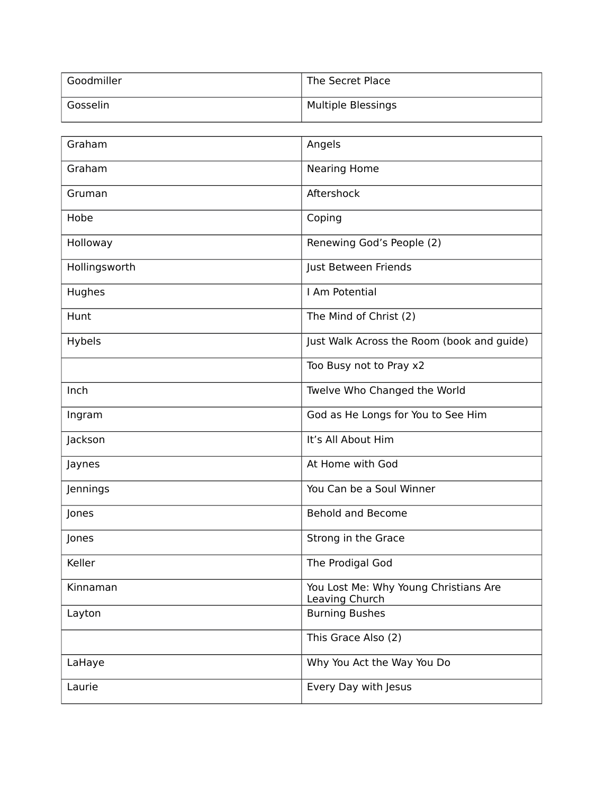| Goodmiller | The Secret Place          |
|------------|---------------------------|
| Gosselin   | <b>Multiple Blessings</b> |

| Graham        | Angels                                                  |
|---------------|---------------------------------------------------------|
| Graham        | <b>Nearing Home</b>                                     |
| Gruman        | Aftershock                                              |
| Hobe          | Coping                                                  |
| Holloway      | Renewing God's People (2)                               |
| Hollingsworth | Just Between Friends                                    |
| Hughes        | I Am Potential                                          |
| Hunt          | The Mind of Christ (2)                                  |
| Hybels        | Just Walk Across the Room (book and guide)              |
|               | Too Busy not to Pray x2                                 |
| Inch          | Twelve Who Changed the World                            |
| Ingram        | God as He Longs for You to See Him                      |
| Jackson       | It's All About Him                                      |
| Jaynes        | At Home with God                                        |
| Jennings      | You Can be a Soul Winner                                |
| Jones         | <b>Behold and Become</b>                                |
| Jones         | Strong in the Grace                                     |
| Keller        | The Prodigal God                                        |
| Kinnaman      | You Lost Me: Why Young Christians Are<br>Leaving Church |
| Layton        | <b>Burning Bushes</b>                                   |
|               | This Grace Also (2)                                     |
| LaHaye        | Why You Act the Way You Do                              |
| Laurie        | Every Day with Jesus                                    |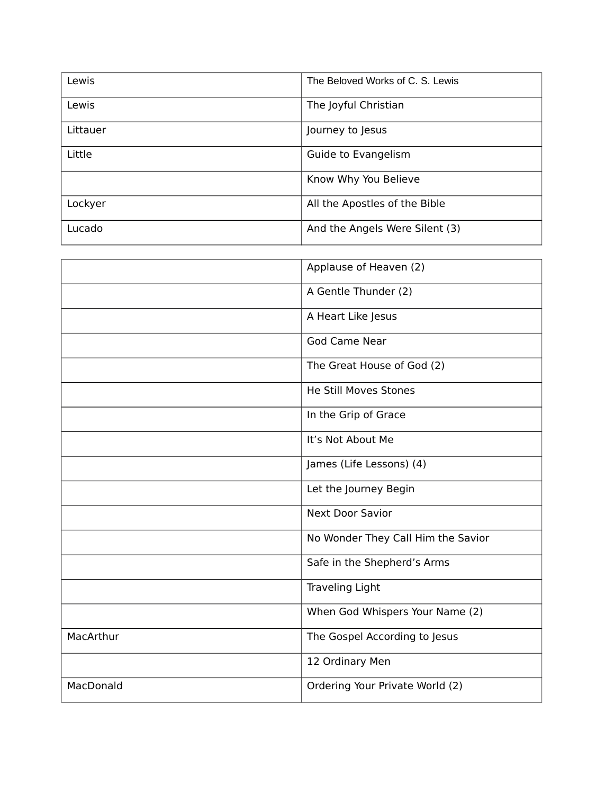| Lewis    | The Beloved Works of C. S. Lewis |
|----------|----------------------------------|
| Lewis    | The Joyful Christian             |
| Littauer | Journey to Jesus                 |
| Little   | Guide to Evangelism              |
|          | Know Why You Believe             |
| Lockyer  | All the Apostles of the Bible    |
| Lucado   | And the Angels Were Silent (3)   |

|           | Applause of Heaven (2)             |
|-----------|------------------------------------|
|           | A Gentle Thunder (2)               |
|           | A Heart Like Jesus                 |
|           | <b>God Came Near</b>               |
|           | The Great House of God (2)         |
|           | He Still Moves Stones              |
|           | In the Grip of Grace               |
|           | It's Not About Me                  |
|           | James (Life Lessons) (4)           |
|           | Let the Journey Begin              |
|           | <b>Next Door Savior</b>            |
|           | No Wonder They Call Him the Savior |
|           | Safe in the Shepherd's Arms        |
|           | <b>Traveling Light</b>             |
|           | When God Whispers Your Name (2)    |
| MacArthur | The Gospel According to Jesus      |
|           | 12 Ordinary Men                    |
| MacDonald | Ordering Your Private World (2)    |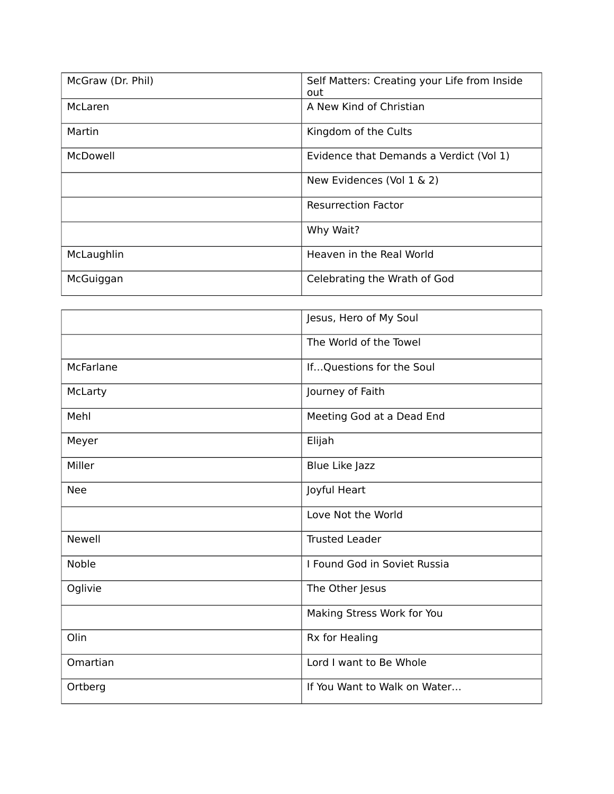| McGraw (Dr. Phil) | Self Matters: Creating your Life from Inside<br>out |
|-------------------|-----------------------------------------------------|
| McLaren           | A New Kind of Christian                             |
| Martin            | Kingdom of the Cults                                |
| McDowell          | Evidence that Demands a Verdict (Vol 1)             |
|                   | New Evidences (Vol 1 & 2)                           |
|                   | <b>Resurrection Factor</b>                          |
|                   | Why Wait?                                           |
| McLaughlin        | Heaven in the Real World                            |
| McGuiggan         | Celebrating the Wrath of God                        |

|               | Jesus, Hero of My Soul       |
|---------------|------------------------------|
|               | The World of the Towel       |
| McFarlane     | IfQuestions for the Soul     |
| McLarty       | Journey of Faith             |
| Mehl          | Meeting God at a Dead End    |
| Meyer         | Elijah                       |
| Miller        | Blue Like Jazz               |
| <b>Nee</b>    | Joyful Heart                 |
|               | Love Not the World           |
| <b>Newell</b> | <b>Trusted Leader</b>        |
| <b>Noble</b>  | I Found God in Soviet Russia |
| Oglivie       | The Other Jesus              |
|               | Making Stress Work for You   |
| Olin          | Rx for Healing               |
| Omartian      | Lord I want to Be Whole      |
| Ortberg       | If You Want to Walk on Water |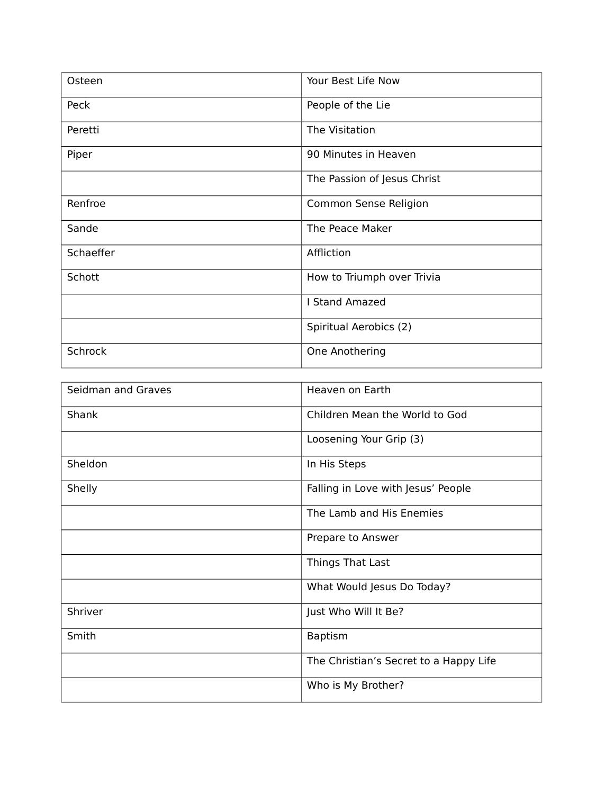| Osteen    | Your Best Life Now          |
|-----------|-----------------------------|
| Peck      | People of the Lie           |
| Peretti   | The Visitation              |
| Piper     | 90 Minutes in Heaven        |
|           | The Passion of Jesus Christ |
| Renfroe   | Common Sense Religion       |
| Sande     | The Peace Maker             |
| Schaeffer | Affliction                  |
| Schott    | How to Triumph over Trivia  |
|           | <b>I Stand Amazed</b>       |
|           | Spiritual Aerobics (2)      |
| Schrock   | One Anothering              |

| Seidman and Graves | Heaven on Earth                        |
|--------------------|----------------------------------------|
| Shank              | Children Mean the World to God         |
|                    | Loosening Your Grip (3)                |
| Sheldon            | In His Steps                           |
| Shelly             | Falling in Love with Jesus' People     |
|                    | The Lamb and His Enemies               |
|                    | Prepare to Answer                      |
|                    | Things That Last                       |
|                    | What Would Jesus Do Today?             |
| Shriver            | Just Who Will It Be?                   |
| Smith              | <b>Baptism</b>                         |
|                    | The Christian's Secret to a Happy Life |
|                    | Who is My Brother?                     |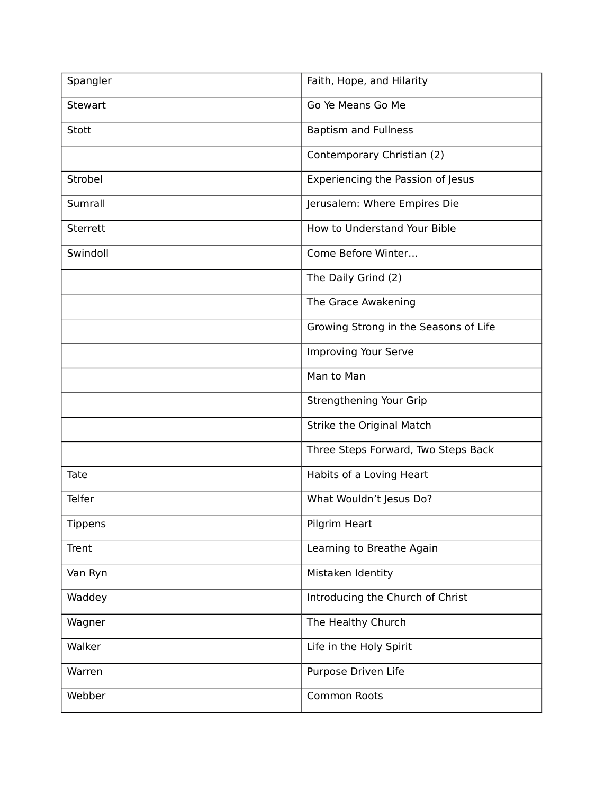| Spangler     | Faith, Hope, and Hilarity             |
|--------------|---------------------------------------|
| Stewart      | Go Ye Means Go Me                     |
| <b>Stott</b> | <b>Baptism and Fullness</b>           |
|              | Contemporary Christian (2)            |
| Strobel      | Experiencing the Passion of Jesus     |
| Sumrall      | Jerusalem: Where Empires Die          |
| Sterrett     | How to Understand Your Bible          |
| Swindoll     | Come Before Winter                    |
|              | The Daily Grind (2)                   |
|              | The Grace Awakening                   |
|              | Growing Strong in the Seasons of Life |
|              | Improving Your Serve                  |
|              | Man to Man                            |
|              | Strengthening Your Grip               |
|              | Strike the Original Match             |
|              | Three Steps Forward, Two Steps Back   |
| Tate         | Habits of a Loving Heart              |
| Telfer       | What Wouldn't Jesus Do?               |
| Tippens      | Pilgrim Heart                         |
| Trent        | Learning to Breathe Again             |
| Van Ryn      | Mistaken Identity                     |
| Waddey       | Introducing the Church of Christ      |
| Wagner       | The Healthy Church                    |
| Walker       | Life in the Holy Spirit               |
| Warren       | Purpose Driven Life                   |
| Webber       | <b>Common Roots</b>                   |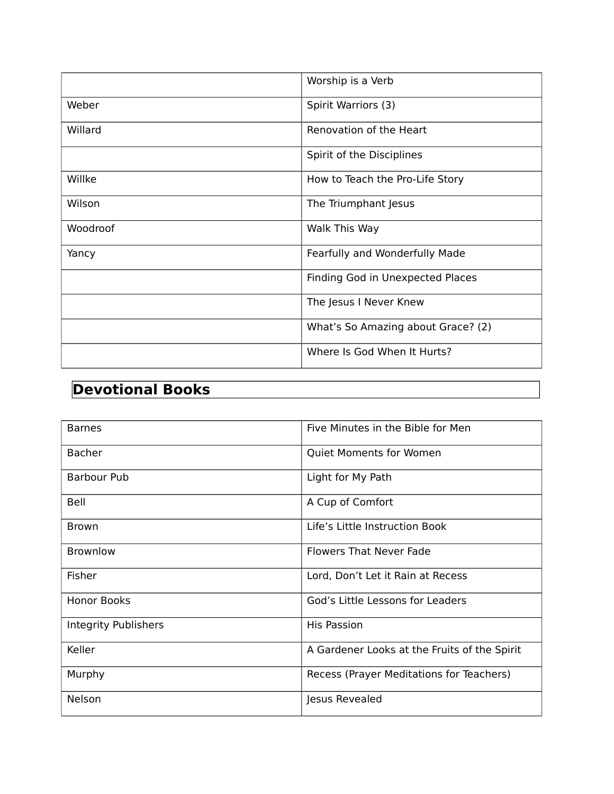|          | Worship is a Verb                  |
|----------|------------------------------------|
| Weber    | Spirit Warriors (3)                |
| Willard  | Renovation of the Heart            |
|          | Spirit of the Disciplines          |
| Willke   | How to Teach the Pro-Life Story    |
| Wilson   | The Triumphant Jesus               |
| Woodroof | Walk This Way                      |
| Yancy    | Fearfully and Wonderfully Made     |
|          | Finding God in Unexpected Places   |
|          | The Jesus I Never Knew             |
|          | What's So Amazing about Grace? (2) |
|          | Where Is God When It Hurts?        |

#### **Devotional Books**

| <b>Barnes</b>        | Five Minutes in the Bible for Men            |
|----------------------|----------------------------------------------|
| <b>Bacher</b>        | <b>Quiet Moments for Women</b>               |
| Barbour Pub          | Light for My Path                            |
| Bell                 | A Cup of Comfort                             |
| <b>Brown</b>         | Life's Little Instruction Book               |
| <b>Brownlow</b>      | <b>Flowers That Never Fade</b>               |
| Fisher               | Lord, Don't Let it Rain at Recess            |
| <b>Honor Books</b>   | God's Little Lessons for Leaders             |
| Integrity Publishers | <b>His Passion</b>                           |
| Keller               | A Gardener Looks at the Fruits of the Spirit |
| Murphy               | Recess (Prayer Meditations for Teachers)     |
| <b>Nelson</b>        | Jesus Revealed                               |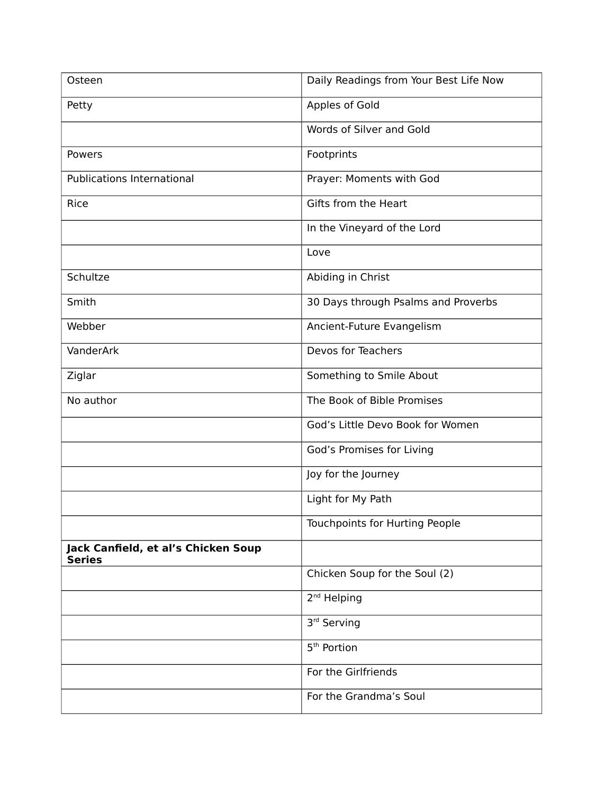| Osteen                                               | Daily Readings from Your Best Life Now |
|------------------------------------------------------|----------------------------------------|
| Petty                                                | Apples of Gold                         |
|                                                      | Words of Silver and Gold               |
| Powers                                               | Footprints                             |
| <b>Publications International</b>                    | Prayer: Moments with God               |
| Rice                                                 | Gifts from the Heart                   |
|                                                      | In the Vineyard of the Lord            |
|                                                      | Love                                   |
| Schultze                                             | Abiding in Christ                      |
| Smith                                                | 30 Days through Psalms and Proverbs    |
| Webber                                               | Ancient-Future Evangelism              |
| VanderArk                                            | Devos for Teachers                     |
| Ziglar                                               | Something to Smile About               |
| No author                                            | The Book of Bible Promises             |
|                                                      | God's Little Devo Book for Women       |
|                                                      | God's Promises for Living              |
|                                                      | Joy for the Journey                    |
|                                                      | Light for My Path                      |
|                                                      | Touchpoints for Hurting People         |
| Jack Canfield, et al's Chicken Soup<br><b>Series</b> |                                        |
|                                                      | Chicken Soup for the Soul (2)          |
|                                                      | 2 <sup>nd</sup> Helping                |
|                                                      | 3rd Serving                            |
|                                                      | 5 <sup>th</sup> Portion                |
|                                                      | For the Girlfriends                    |
|                                                      | For the Grandma's Soul                 |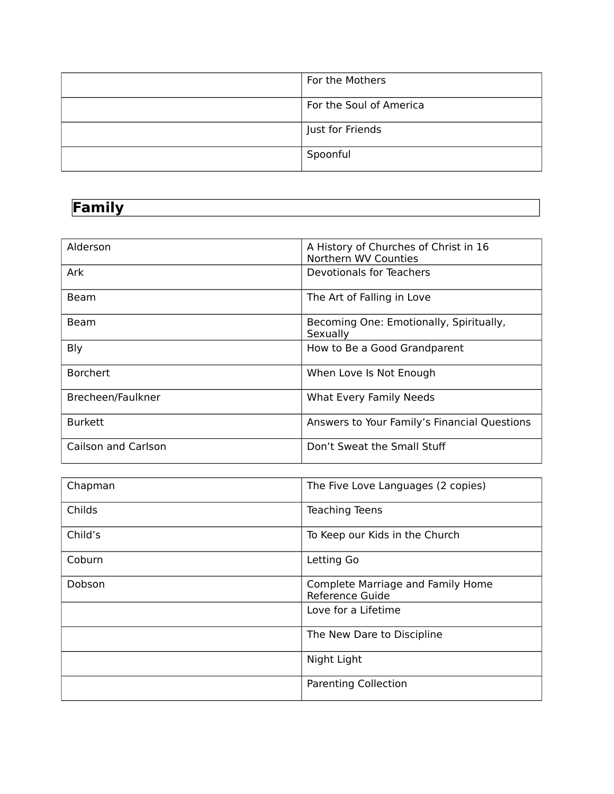| For the Mothers         |
|-------------------------|
| For the Soul of America |
| Just for Friends        |
| Spoonful                |

# **Family**

| Alderson            | A History of Churches of Christ in 16<br>Northern WV Counties |
|---------------------|---------------------------------------------------------------|
| <b>Ark</b>          | Devotionals for Teachers                                      |
| <b>Beam</b>         | The Art of Falling in Love                                    |
| <b>Beam</b>         | Becoming One: Emotionally, Spiritually,<br>Sexually           |
| Bly                 | How to Be a Good Grandparent                                  |
| <b>Borchert</b>     | When Love Is Not Enough                                       |
| Brecheen/Faulkner   | What Every Family Needs                                       |
| <b>Burkett</b>      | Answers to Your Family's Financial Questions                  |
| Cailson and Carlson | Don't Sweat the Small Stuff                                   |

| Chapman | The Five Love Languages (2 copies)                   |
|---------|------------------------------------------------------|
| Childs  | <b>Teaching Teens</b>                                |
| Child's | To Keep our Kids in the Church                       |
| Coburn  | Letting Go                                           |
| Dobson  | Complete Marriage and Family Home<br>Reference Guide |
|         | Love for a Lifetime                                  |
|         | The New Dare to Discipline                           |
|         | Night Light                                          |
|         | <b>Parenting Collection</b>                          |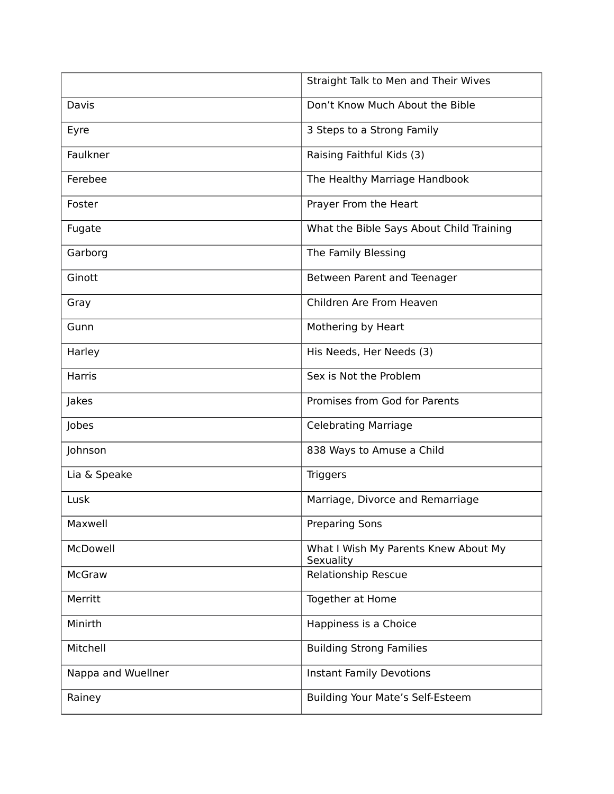|                    | Straight Talk to Men and Their Wives              |
|--------------------|---------------------------------------------------|
| Davis              | Don't Know Much About the Bible                   |
| Eyre               | 3 Steps to a Strong Family                        |
| Faulkner           | Raising Faithful Kids (3)                         |
| Ferebee            | The Healthy Marriage Handbook                     |
| Foster             | Prayer From the Heart                             |
| Fugate             | What the Bible Says About Child Training          |
| Garborg            | The Family Blessing                               |
| Ginott             | Between Parent and Teenager                       |
| Gray               | Children Are From Heaven                          |
| Gunn               | Mothering by Heart                                |
| Harley             | His Needs, Her Needs (3)                          |
| Harris             | Sex is Not the Problem                            |
| Jakes              | Promises from God for Parents                     |
| Jobes              | <b>Celebrating Marriage</b>                       |
| Johnson            | 838 Ways to Amuse a Child                         |
| Lia & Speake       | <b>Triggers</b>                                   |
| Lusk               | Marriage, Divorce and Remarriage                  |
| Maxwell            | <b>Preparing Sons</b>                             |
| McDowell           | What I Wish My Parents Knew About My<br>Sexuality |
| McGraw             | Relationship Rescue                               |
| Merritt            | Together at Home                                  |
| Minirth            | Happiness is a Choice                             |
| Mitchell           | <b>Building Strong Families</b>                   |
| Nappa and Wuellner | <b>Instant Family Devotions</b>                   |
| Rainey             | Building Your Mate's Self-Esteem                  |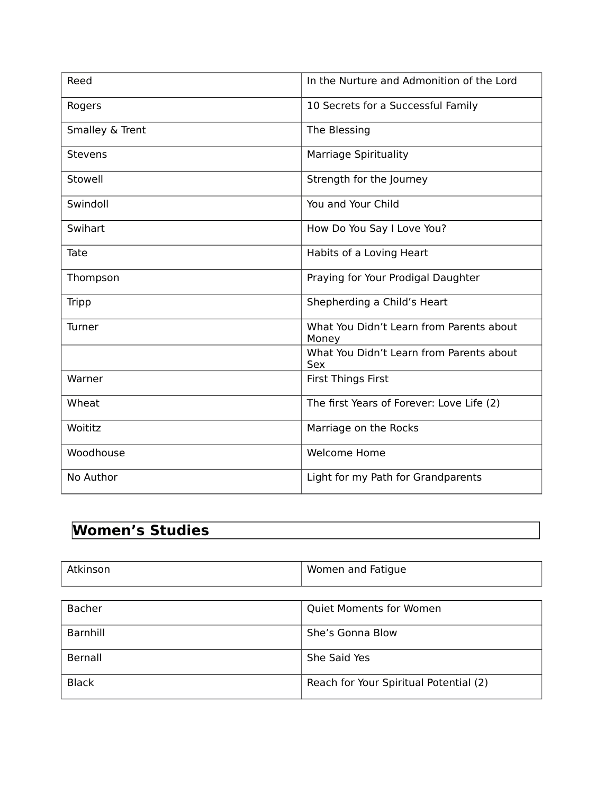| Reed            | In the Nurture and Admonition of the Lord         |
|-----------------|---------------------------------------------------|
| Rogers          | 10 Secrets for a Successful Family                |
| Smalley & Trent | The Blessing                                      |
| <b>Stevens</b>  | <b>Marriage Spirituality</b>                      |
| Stowell         | Strength for the Journey                          |
| Swindoll        | You and Your Child                                |
| Swihart         | How Do You Say I Love You?                        |
| Tate            | Habits of a Loving Heart                          |
| Thompson        | Praying for Your Prodigal Daughter                |
| Tripp           | Shepherding a Child's Heart                       |
| Turner          | What You Didn't Learn from Parents about<br>Money |
|                 | What You Didn't Learn from Parents about<br>Sex   |
| Warner          | <b>First Things First</b>                         |
| Wheat           | The first Years of Forever: Love Life (2)         |
| Woititz         | Marriage on the Rocks                             |
| Woodhouse       | <b>Welcome Home</b>                               |
| No Author       | Light for my Path for Grandparents                |

# **Women's Studies**

| Atkinson      | Women and Fatigue                      |
|---------------|----------------------------------------|
|               |                                        |
| <b>Bacher</b> | <b>Quiet Moments for Women</b>         |
| Barnhill      | She's Gonna Blow                       |
| Bernall       | She Said Yes                           |
| <b>Black</b>  | Reach for Your Spiritual Potential (2) |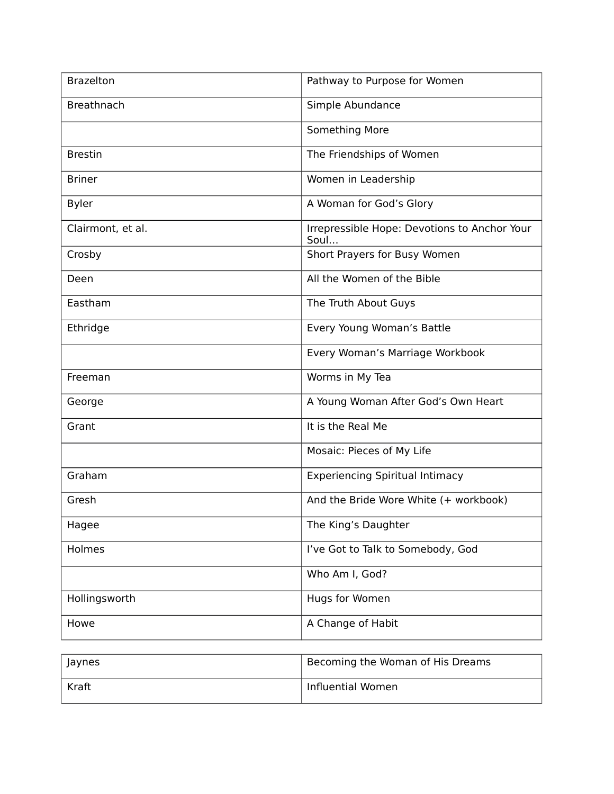| <b>Brazelton</b>  | Pathway to Purpose for Women                         |
|-------------------|------------------------------------------------------|
| <b>Breathnach</b> | Simple Abundance                                     |
|                   | Something More                                       |
| <b>Brestin</b>    | The Friendships of Women                             |
| <b>Briner</b>     | Women in Leadership                                  |
| <b>Byler</b>      | A Woman for God's Glory                              |
| Clairmont, et al. | Irrepressible Hope: Devotions to Anchor Your<br>Soul |
| Crosby            | Short Prayers for Busy Women                         |
| Deen              | All the Women of the Bible                           |
| Eastham           | The Truth About Guys                                 |
| Ethridge          | Every Young Woman's Battle                           |
|                   | Every Woman's Marriage Workbook                      |
| Freeman           | Worms in My Tea                                      |
| George            | A Young Woman After God's Own Heart                  |
| Grant             | It is the Real Me                                    |
|                   | Mosaic: Pieces of My Life                            |
| Graham            | <b>Experiencing Spiritual Intimacy</b>               |
| Gresh             | And the Bride Wore White (+ workbook)                |
| Hagee             | The King's Daughter                                  |
| Holmes            | I've Got to Talk to Somebody, God                    |
|                   | Who Am I, God?                                       |
| Hollingsworth     | Hugs for Women                                       |
| Howe              | A Change of Habit                                    |

| <b>laynes</b> | Becoming the Woman of His Dreams |
|---------------|----------------------------------|
| Kraft         | Influential Women                |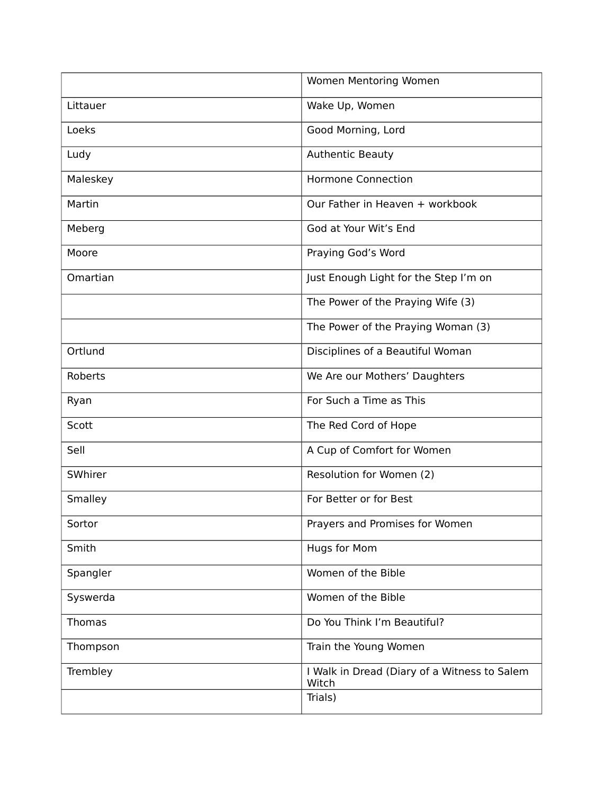|               | Women Mentoring Women                                 |
|---------------|-------------------------------------------------------|
| Littauer      | Wake Up, Women                                        |
| Loeks         | Good Morning, Lord                                    |
| Ludy          | <b>Authentic Beauty</b>                               |
| Maleskey      | <b>Hormone Connection</b>                             |
| Martin        | Our Father in Heaven + workbook                       |
| Meberg        | God at Your Wit's End                                 |
| Moore         | Praying God's Word                                    |
| Omartian      | Just Enough Light for the Step I'm on                 |
|               | The Power of the Praying Wife (3)                     |
|               | The Power of the Praying Woman (3)                    |
| Ortlund       | Disciplines of a Beautiful Woman                      |
| Roberts       | We Are our Mothers' Daughters                         |
| Ryan          | For Such a Time as This                               |
| Scott         | The Red Cord of Hope                                  |
| Sell          | A Cup of Comfort for Women                            |
| SWhirer       | Resolution for Women (2)                              |
| Smalley       | For Better or for Best                                |
| Sortor        | Prayers and Promises for Women                        |
| Smith         | Hugs for Mom                                          |
| Spangler      | Women of the Bible                                    |
| Syswerda      | Women of the Bible                                    |
| <b>Thomas</b> | Do You Think I'm Beautiful?                           |
| Thompson      | Train the Young Women                                 |
| Trembley      | I Walk in Dread (Diary of a Witness to Salem<br>Witch |
|               | Trials)                                               |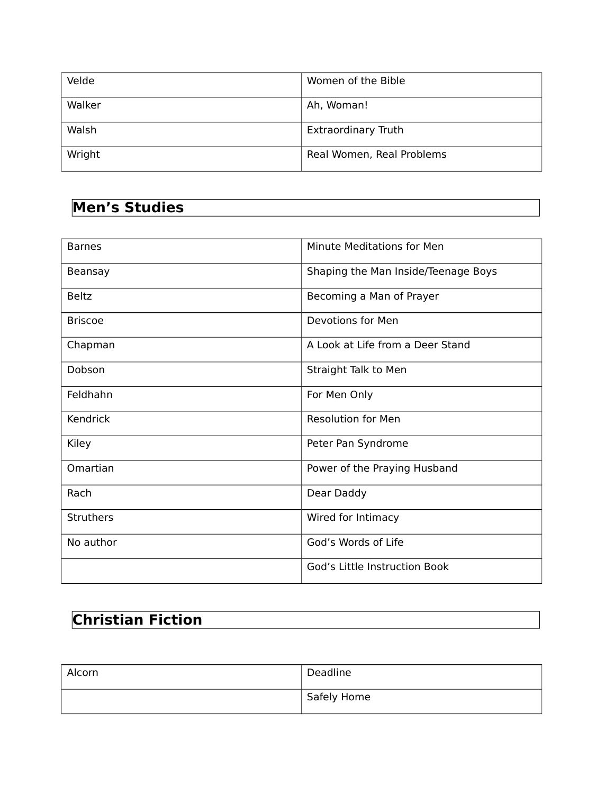| Velde  | Women of the Bible         |
|--------|----------------------------|
| Walker | Ah, Woman!                 |
| Walsh  | <b>Extraordinary Truth</b> |
| Wright | Real Women, Real Problems  |

#### **Men's Studies**

| <b>Barnes</b>    | Minute Meditations for Men          |
|------------------|-------------------------------------|
| Beansay          | Shaping the Man Inside/Teenage Boys |
| <b>Beltz</b>     | Becoming a Man of Prayer            |
| <b>Briscoe</b>   | Devotions for Men                   |
| Chapman          | A Look at Life from a Deer Stand    |
| Dobson           | Straight Talk to Men                |
| Feldhahn         | For Men Only                        |
| Kendrick         | <b>Resolution for Men</b>           |
| Kiley            | Peter Pan Syndrome                  |
| Omartian         | Power of the Praying Husband        |
| Rach             | Dear Daddy                          |
| <b>Struthers</b> | Wired for Intimacy                  |
| No author        | God's Words of Life                 |
|                  | God's Little Instruction Book       |

# **Christian Fiction**

| Alcorn | Deadline    |
|--------|-------------|
|        | Safely Home |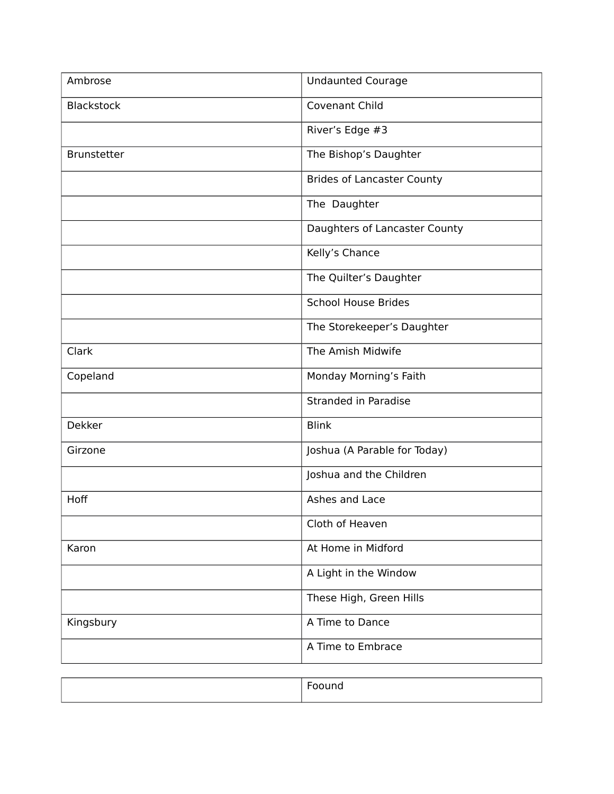| Ambrose           | <b>Undaunted Courage</b>          |
|-------------------|-----------------------------------|
| <b>Blackstock</b> | Covenant Child                    |
|                   | River's Edge #3                   |
| Brunstetter       | The Bishop's Daughter             |
|                   | <b>Brides of Lancaster County</b> |
|                   | The Daughter                      |
|                   | Daughters of Lancaster County     |
|                   | Kelly's Chance                    |
|                   | The Quilter's Daughter            |
|                   | <b>School House Brides</b>        |
|                   | The Storekeeper's Daughter        |
| Clark             | The Amish Midwife                 |
| Copeland          | Monday Morning's Faith            |
|                   | <b>Stranded in Paradise</b>       |
| <b>Dekker</b>     | <b>Blink</b>                      |
| Girzone           | Joshua (A Parable for Today)      |
|                   | Joshua and the Children           |
| Hoff              | Ashes and Lace                    |
|                   | Cloth of Heaven                   |
| Karon             | At Home in Midford                |
|                   | A Light in the Window             |
|                   | These High, Green Hills           |
| Kingsbury         | A Time to Dance                   |
|                   | A Time to Embrace                 |
|                   |                                   |

|--|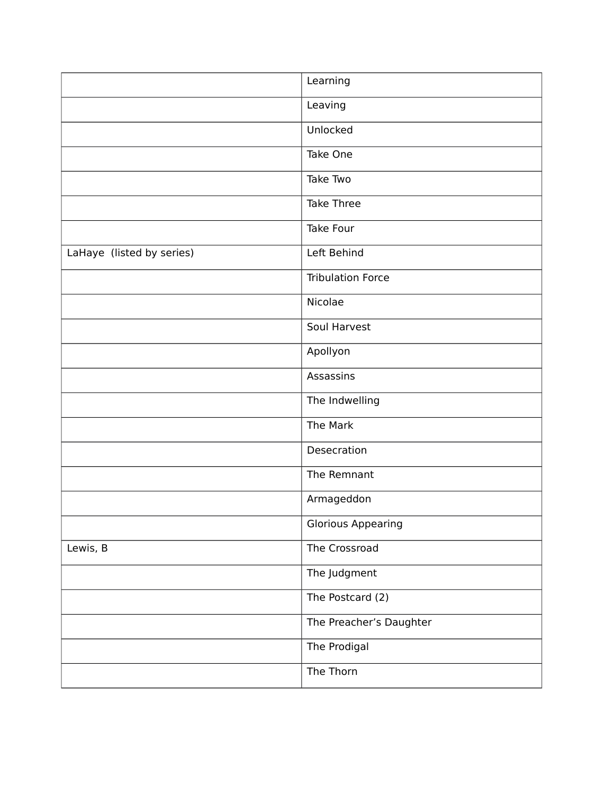|                           | Learning                  |
|---------------------------|---------------------------|
|                           | Leaving                   |
|                           | Unlocked                  |
|                           | Take One                  |
|                           | Take Two                  |
|                           | Take Three                |
|                           | Take Four                 |
| LaHaye (listed by series) | Left Behind               |
|                           | <b>Tribulation Force</b>  |
|                           | Nicolae                   |
|                           | Soul Harvest              |
|                           | Apollyon                  |
|                           | Assassins                 |
|                           | The Indwelling            |
|                           | The Mark                  |
|                           | Desecration               |
|                           | The Remnant               |
|                           | Armageddon                |
|                           | <b>Glorious Appearing</b> |
| Lewis, B                  | The Crossroad             |
|                           | The Judgment              |
|                           | The Postcard (2)          |
|                           | The Preacher's Daughter   |
|                           | The Prodigal              |
|                           | The Thorn                 |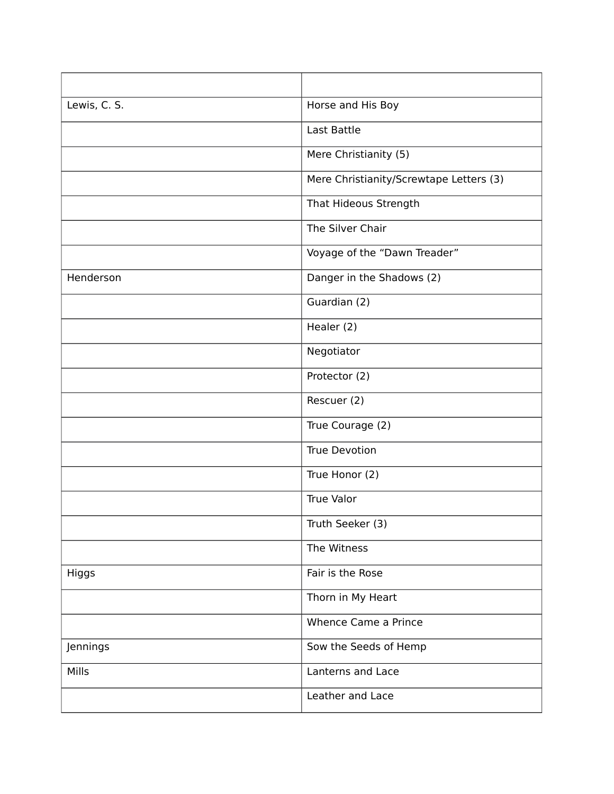| Lewis, C. S. | Horse and His Boy                       |
|--------------|-----------------------------------------|
|              | Last Battle                             |
|              | Mere Christianity (5)                   |
|              | Mere Christianity/Screwtape Letters (3) |
|              | That Hideous Strength                   |
|              | The Silver Chair                        |
|              | Voyage of the "Dawn Treader"            |
| Henderson    | Danger in the Shadows (2)               |
|              | Guardian (2)                            |
|              | Healer (2)                              |
|              | Negotiator                              |
|              | Protector (2)                           |
|              | Rescuer (2)                             |
|              | True Courage (2)                        |
|              | <b>True Devotion</b>                    |
|              | True Honor (2)                          |
|              | True Valor                              |
|              | Truth Seeker (3)                        |
|              | The Witness                             |
| Higgs        | Fair is the Rose                        |
|              | Thorn in My Heart                       |
|              | Whence Came a Prince                    |
| Jennings     | Sow the Seeds of Hemp                   |
| Mills        | Lanterns and Lace                       |
|              | Leather and Lace                        |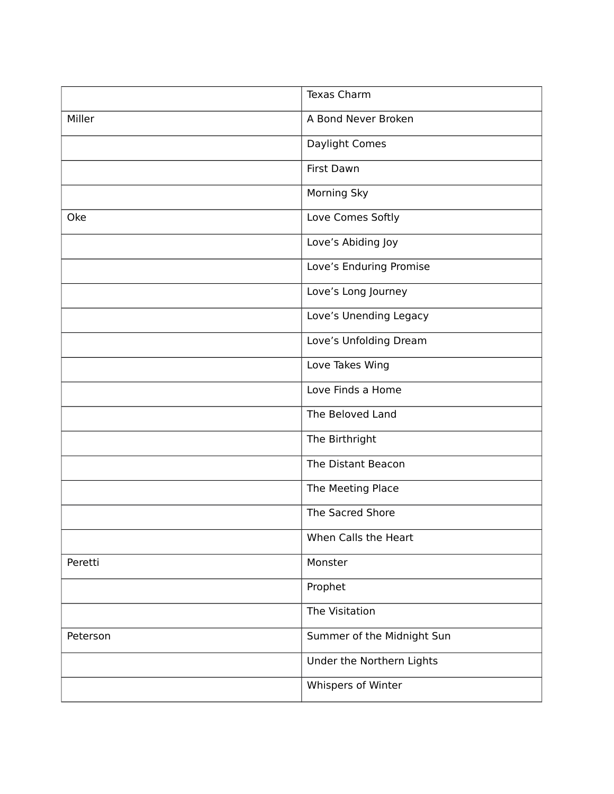|          | <b>Texas Charm</b>         |
|----------|----------------------------|
| Miller   | A Bond Never Broken        |
|          | Daylight Comes             |
|          | First Dawn                 |
|          | <b>Morning Sky</b>         |
| Oke      | Love Comes Softly          |
|          | Love's Abiding Joy         |
|          | Love's Enduring Promise    |
|          | Love's Long Journey        |
|          | Love's Unending Legacy     |
|          | Love's Unfolding Dream     |
|          | Love Takes Wing            |
|          | Love Finds a Home          |
|          | The Beloved Land           |
|          | The Birthright             |
|          | The Distant Beacon         |
|          | The Meeting Place          |
|          | The Sacred Shore           |
|          | When Calls the Heart       |
| Peretti  | Monster                    |
|          | Prophet                    |
|          | The Visitation             |
| Peterson | Summer of the Midnight Sun |
|          | Under the Northern Lights  |
|          | Whispers of Winter         |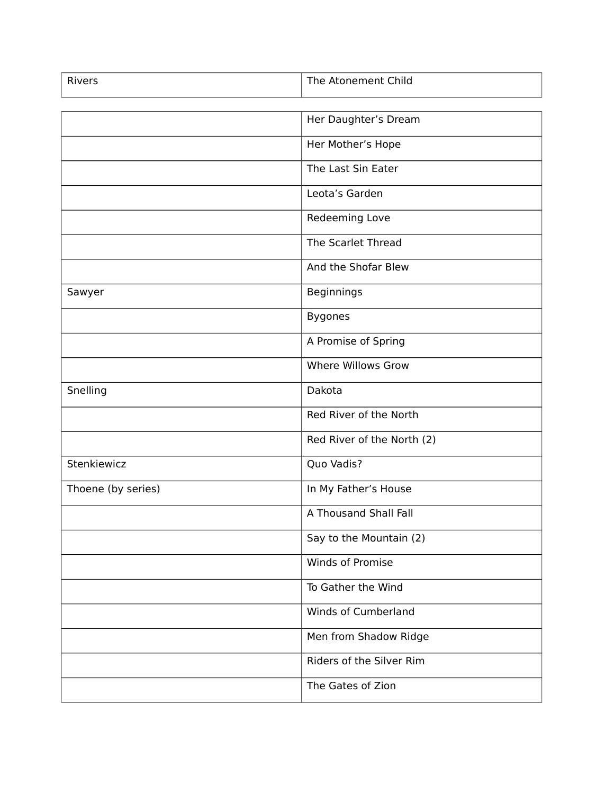| Rivers             | The Atonement Child        |
|--------------------|----------------------------|
|                    |                            |
|                    | Her Daughter's Dream       |
|                    | Her Mother's Hope          |
|                    | The Last Sin Eater         |
|                    | Leota's Garden             |
|                    | Redeeming Love             |
|                    | The Scarlet Thread         |
|                    | And the Shofar Blew        |
| Sawyer             | Beginnings                 |
|                    | <b>Bygones</b>             |
|                    | A Promise of Spring        |
|                    | Where Willows Grow         |
| Snelling           | Dakota                     |
|                    | Red River of the North     |
|                    | Red River of the North (2) |
| Stenkiewicz        | Quo Vadis?                 |
| Thoene (by series) | In My Father's House       |
|                    | A Thousand Shall Fall      |
|                    | Say to the Mountain (2)    |
|                    | Winds of Promise           |
|                    | To Gather the Wind         |
|                    | Winds of Cumberland        |
|                    | Men from Shadow Ridge      |
|                    | Riders of the Silver Rim   |
|                    | The Gates of Zion          |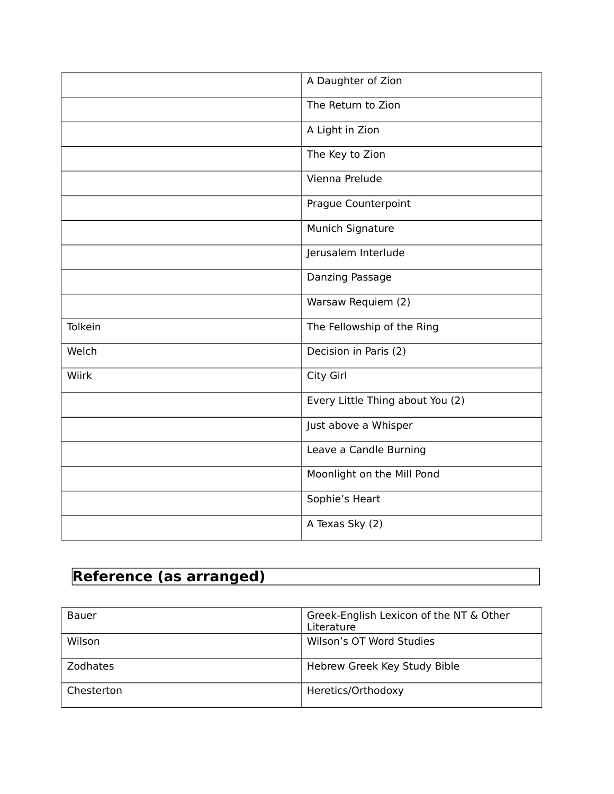|         | A Daughter of Zion               |
|---------|----------------------------------|
|         | The Return to Zion               |
|         | A Light in Zion                  |
|         | The Key to Zion                  |
|         | Vienna Prelude                   |
|         | Prague Counterpoint              |
|         | Munich Signature                 |
|         | Jerusalem Interlude              |
|         | Danzing Passage                  |
|         | Warsaw Requiem (2)               |
| Tolkein | The Fellowship of the Ring       |
| Welch   | Decision in Paris (2)            |
| Wiirk   | City Girl                        |
|         | Every Little Thing about You (2) |
|         | Just above a Whisper             |
|         | Leave a Candle Burning           |
|         | Moonlight on the Mill Pond       |
|         | Sophie's Heart                   |
|         | A Texas Sky (2)                  |

# **Reference (as arranged)**

| Bauer           | Greek-English Lexicon of the NT & Other<br>Literature |
|-----------------|-------------------------------------------------------|
| Wilson          | Wilson's OT Word Studies                              |
| <b>Zodhates</b> | Hebrew Greek Key Study Bible                          |
| Chesterton      | Heretics/Orthodoxy                                    |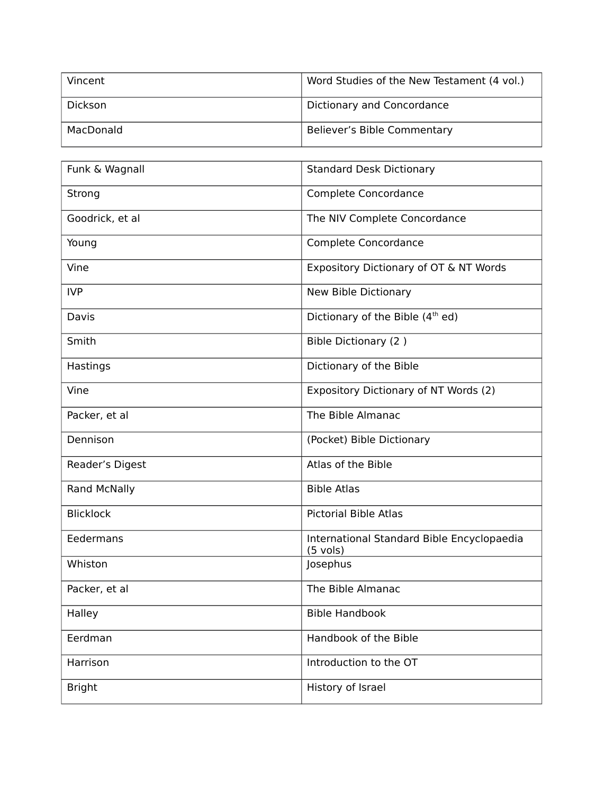| Vincent        | Word Studies of the New Testament (4 vol.) |
|----------------|--------------------------------------------|
| <b>Dickson</b> | Dictionary and Concordance                 |
| MacDonald      | Believer's Bible Commentary                |

| Funk & Wagnall      | <b>Standard Desk Dictionary</b>                                  |
|---------------------|------------------------------------------------------------------|
| Strong              | Complete Concordance                                             |
| Goodrick, et al     | The NIV Complete Concordance                                     |
| Young               | Complete Concordance                                             |
| Vine                | Expository Dictionary of OT & NT Words                           |
| <b>IVP</b>          | New Bible Dictionary                                             |
| Davis               | Dictionary of the Bible (4 <sup>th</sup> ed)                     |
| Smith               | Bible Dictionary (2)                                             |
| Hastings            | Dictionary of the Bible                                          |
| Vine                | Expository Dictionary of NT Words (2)                            |
| Packer, et al       | The Bible Almanac                                                |
| Dennison            | (Pocket) Bible Dictionary                                        |
| Reader's Digest     | Atlas of the Bible                                               |
| <b>Rand McNally</b> | <b>Bible Atlas</b>                                               |
| <b>Blicklock</b>    | <b>Pictorial Bible Atlas</b>                                     |
| Eedermans           | International Standard Bible Encyclopaedia<br>$(5 \text{ vols})$ |
| Whiston             | Josephus                                                         |
| Packer, et al       | The Bible Almanac                                                |
| Halley              | <b>Bible Handbook</b>                                            |
| Eerdman             | Handbook of the Bible                                            |
| Harrison            | Introduction to the OT                                           |
| <b>Bright</b>       | History of Israel                                                |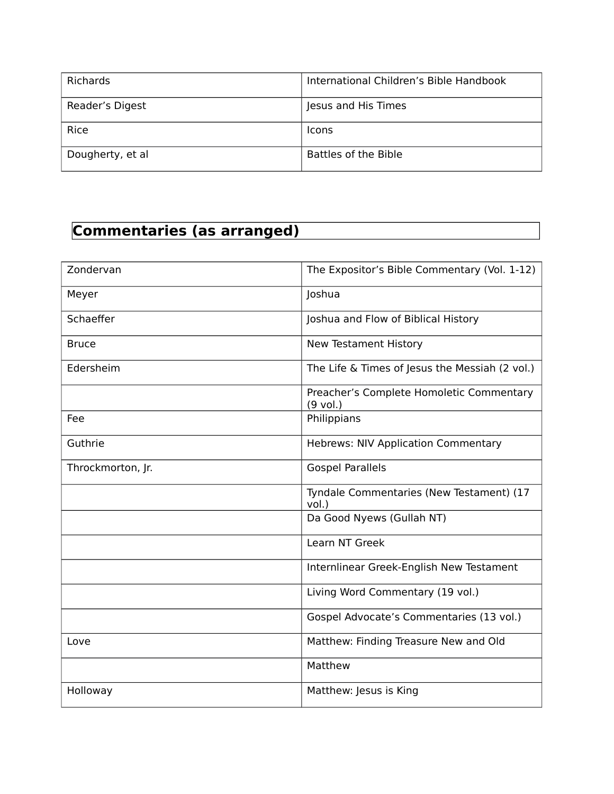| <b>Richards</b>  | International Children's Bible Handbook |
|------------------|-----------------------------------------|
| Reader's Digest  | Jesus and His Times                     |
| Rice             | <b>Icons</b>                            |
| Dougherty, et al | Battles of the Bible                    |

# **Commentaries (as arranged)**

| Zondervan         | The Expositor's Bible Commentary (Vol. 1-12)           |
|-------------------|--------------------------------------------------------|
| Meyer             | Joshua                                                 |
| Schaeffer         | Joshua and Flow of Biblical History                    |
| <b>Bruce</b>      | New Testament History                                  |
| Edersheim         | The Life & Times of Jesus the Messiah (2 vol.)         |
|                   | Preacher's Complete Homoletic Commentary<br>$(9$ vol.) |
| Fee               | Philippians                                            |
| Guthrie           | <b>Hebrews: NIV Application Commentary</b>             |
| Throckmorton, Jr. | <b>Gospel Parallels</b>                                |
|                   | Tyndale Commentaries (New Testament) (17<br>vol.)      |
|                   | Da Good Nyews (Gullah NT)                              |
|                   | Learn NT Greek                                         |
|                   | Internlinear Greek-English New Testament               |
|                   | Living Word Commentary (19 vol.)                       |
|                   | Gospel Advocate's Commentaries (13 vol.)               |
| Love              | Matthew: Finding Treasure New and Old                  |
|                   | Matthew                                                |
| Holloway          | Matthew: Jesus is King                                 |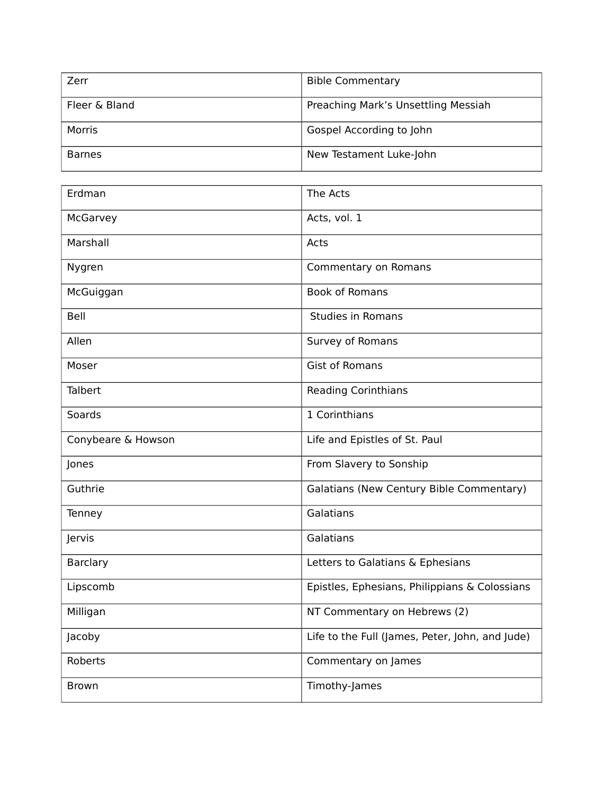| Zerr          | <b>Bible Commentary</b>             |
|---------------|-------------------------------------|
| Fleer & Bland | Preaching Mark's Unsettling Messiah |
| Morris        | Gospel According to John            |
| <b>Barnes</b> | New Testament Luke-John             |

| Erdman             | The Acts                                        |
|--------------------|-------------------------------------------------|
| McGarvey           | Acts, vol. 1                                    |
| Marshall           | Acts                                            |
| Nygren             | Commentary on Romans                            |
| McGuiggan          | <b>Book of Romans</b>                           |
| Bell               | <b>Studies in Romans</b>                        |
| Allen              | Survey of Romans                                |
| Moser              | <b>Gist of Romans</b>                           |
| Talbert            | <b>Reading Corinthians</b>                      |
| Soards             | 1 Corinthians                                   |
| Conybeare & Howson | Life and Epistles of St. Paul                   |
| Jones              | From Slavery to Sonship                         |
| Guthrie            | Galatians (New Century Bible Commentary)        |
| Tenney             | Galatians                                       |
| Jervis             | Galatians                                       |
| <b>Barclary</b>    | Letters to Galatians & Ephesians                |
| Lipscomb           | Epistles, Ephesians, Philippians & Colossians   |
| Milligan           | NT Commentary on Hebrews (2)                    |
| Jacoby             | Life to the Full (James, Peter, John, and Jude) |
| Roberts            | Commentary on James                             |
| <b>Brown</b>       | Timothy-James                                   |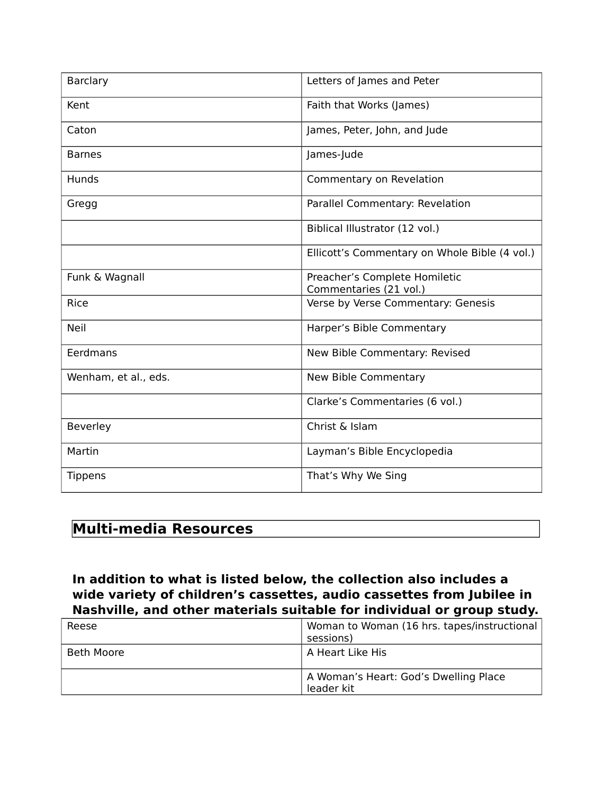| Barclary             | Letters of James and Peter                              |
|----------------------|---------------------------------------------------------|
| Kent                 | Faith that Works (James)                                |
| Caton                | James, Peter, John, and Jude                            |
| <b>Barnes</b>        | James-Jude                                              |
| <b>Hunds</b>         | Commentary on Revelation                                |
| Gregg                | Parallel Commentary: Revelation                         |
|                      | Biblical Illustrator (12 vol.)                          |
|                      | Ellicott's Commentary on Whole Bible (4 vol.)           |
| Funk & Wagnall       | Preacher's Complete Homiletic<br>Commentaries (21 vol.) |
| Rice                 | Verse by Verse Commentary: Genesis                      |
| <b>Neil</b>          | Harper's Bible Commentary                               |
| Eerdmans             | New Bible Commentary: Revised                           |
| Wenham, et al., eds. | New Bible Commentary                                    |
|                      | Clarke's Commentaries (6 vol.)                          |
| Beverley             | Christ & Islam                                          |
| Martin               | Layman's Bible Encyclopedia                             |
| <b>Tippens</b>       | That's Why We Sing                                      |

#### **Multi-media Resources**

**In addition to what is listed below, the collection also includes a wide variety of children's cassettes, audio cassettes from Jubilee in Nashville, and other materials suitable for individual or group study.**

| Reese      | Woman to Woman (16 hrs. tapes/instructional<br>sessions) |
|------------|----------------------------------------------------------|
| Beth Moore | A Heart Like His                                         |
|            | A Woman's Heart: God's Dwelling Place<br>leader kit      |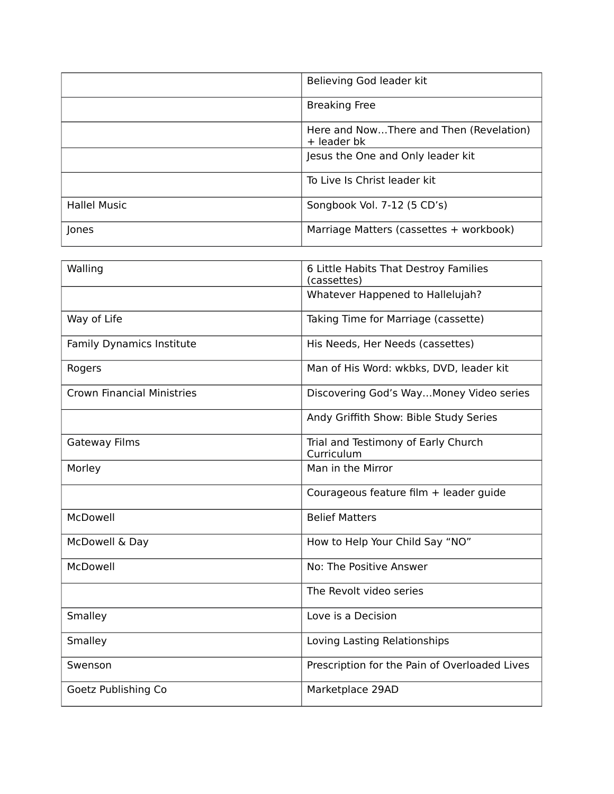|                     | Believing God leader kit                               |
|---------------------|--------------------------------------------------------|
|                     | <b>Breaking Free</b>                                   |
|                     | Here and NowThere and Then (Revelation)<br>+ leader bk |
|                     | Jesus the One and Only leader kit                      |
|                     | To Live Is Christ leader kit                           |
| <b>Hallel Music</b> | Songbook Vol. 7-12 (5 CD's)                            |
| Jones               | Marriage Matters (cassettes + workbook)                |

| Walling                           | 6 Little Habits That Destroy Families<br>(cassettes) |
|-----------------------------------|------------------------------------------------------|
|                                   | Whatever Happened to Hallelujah?                     |
| Way of Life                       | Taking Time for Marriage (cassette)                  |
| Family Dynamics Institute         | His Needs, Her Needs (cassettes)                     |
| Rogers                            | Man of His Word: wkbks, DVD, leader kit              |
| <b>Crown Financial Ministries</b> | Discovering God's WayMoney Video series              |
|                                   | Andy Griffith Show: Bible Study Series               |
| <b>Gateway Films</b>              | Trial and Testimony of Early Church<br>Curriculum    |
| Morley                            | Man in the Mirror                                    |
|                                   | Courageous feature film + leader guide               |
| McDowell                          | <b>Belief Matters</b>                                |
| McDowell & Day                    | How to Help Your Child Say "NO"                      |
| McDowell                          | No: The Positive Answer                              |
|                                   | The Revolt video series                              |
| Smalley                           | Love is a Decision                                   |
| Smalley                           | Loving Lasting Relationships                         |
| Swenson                           | Prescription for the Pain of Overloaded Lives        |
| Goetz Publishing Co               | Marketplace 29AD                                     |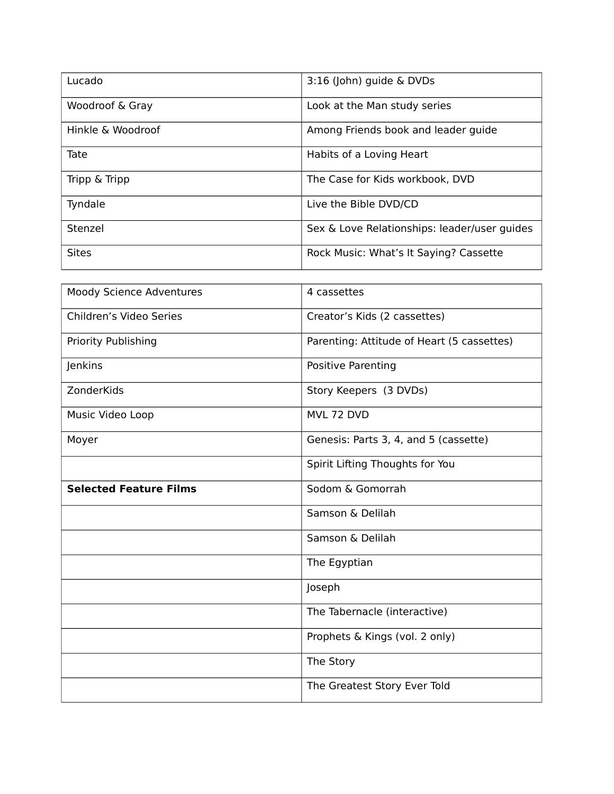| Lucado            | 3:16 (John) guide & DVDs                     |
|-------------------|----------------------------------------------|
| Woodroof & Gray   | Look at the Man study series                 |
| Hinkle & Woodroof | Among Friends book and leader guide          |
| Tate              | Habits of a Loving Heart                     |
| Tripp & Tripp     | The Case for Kids workbook, DVD              |
| Tyndale           | Live the Bible DVD/CD                        |
| Stenzel           | Sex & Love Relationships: leader/user guides |
| <b>Sites</b>      | Rock Music: What's It Saying? Cassette       |

| Moody Science Adventures      | 4 cassettes                                |
|-------------------------------|--------------------------------------------|
| Children's Video Series       | Creator's Kids (2 cassettes)               |
| Priority Publishing           | Parenting: Attitude of Heart (5 cassettes) |
| Jenkins                       | Positive Parenting                         |
| ZonderKids                    | Story Keepers (3 DVDs)                     |
| Music Video Loop              | MVL 72 DVD                                 |
| Moyer                         | Genesis: Parts 3, 4, and 5 (cassette)      |
|                               | Spirit Lifting Thoughts for You            |
| <b>Selected Feature Films</b> | Sodom & Gomorrah                           |
|                               | Samson & Delilah                           |
|                               | Samson & Delilah                           |
|                               | The Egyptian                               |
|                               | Joseph                                     |
|                               | The Tabernacle (interactive)               |
|                               | Prophets & Kings (vol. 2 only)             |
|                               | The Story                                  |
|                               | The Greatest Story Ever Told               |